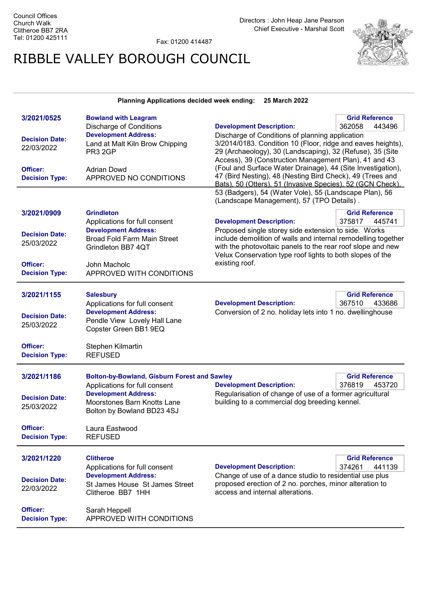Fax: 01200 414487

## RIBBLE VALLEY BOROUGH COUNCIL



Planning Applications decided week ending: 25 March 2022

| 3/2021/0525<br><b>Decision Date:</b><br>22/03/2022<br>Officer:<br><b>Decision Type:</b> | <b>Bowland with Leagram</b><br><b>Discharge of Conditions</b><br><b>Development Address:</b><br>Land at Malt Kiln Brow Chipping<br>PR3 2GP<br><b>Adrian Dowd</b><br>APPROVED NO CONDITIONS | <b>Development Description:</b><br>Discharge of Conditions of planning application<br>3/2014/0183. Condition 10 (Floor, ridge and eaves heights),<br>29 (Archaeology), 30 (Landscaping), 32 (Refuse), 35 (Site<br>Access), 39 (Construction Management Plan), 41 and 43<br>(Foul and Surface Water Drainage), 44 (Site Investigation),<br>47 (Bird Nesting), 48 (Nesting Bird Check), 49 (Trees and<br>Bats), 50 (Otters), 51 (Invasive Species), 52 (GCN Check),<br>53 (Badgers), 54 (Water Vole), 55 (Landscape Plan), 56<br>(Landscape Management), 57 (TPO Details). | <b>Grid Reference</b><br>362058<br>443496 |
|-----------------------------------------------------------------------------------------|--------------------------------------------------------------------------------------------------------------------------------------------------------------------------------------------|--------------------------------------------------------------------------------------------------------------------------------------------------------------------------------------------------------------------------------------------------------------------------------------------------------------------------------------------------------------------------------------------------------------------------------------------------------------------------------------------------------------------------------------------------------------------------|-------------------------------------------|
| 3/2021/0909<br><b>Decision Date:</b><br>25/03/2022                                      | <b>Grindleton</b><br>Applications for full consent<br><b>Development Address:</b><br><b>Broad Fold Farm Main Street</b><br>Grindleton BB7 4QT                                              | <b>Grid Reference</b><br><b>Development Description:</b><br>375817<br>445741<br>Proposed single storey side extension to side. Works<br>include demolition of walls and internal remodelling together<br>with the photovoltaic panels to the rear roof slope and new<br>Velux Conservation type roof lights to both slopes of the                                                                                                                                                                                                                                        |                                           |
| Officer:<br><b>Decision Type:</b>                                                       | John Macholc<br>APPROVED WITH CONDITIONS                                                                                                                                                   | existing roof.                                                                                                                                                                                                                                                                                                                                                                                                                                                                                                                                                           |                                           |
| 3/2021/1155<br><b>Decision Date:</b><br>25/03/2022                                      | <b>Salesbury</b><br>Applications for full consent<br><b>Development Address:</b><br>Pendle View Lovely Hall Lane<br>Copster Green BB1 9EQ                                                  | <b>Development Description:</b><br>Conversion of 2 no. holiday lets into 1 no. dwellinghouse                                                                                                                                                                                                                                                                                                                                                                                                                                                                             | <b>Grid Reference</b><br>367510<br>433686 |
| Officer:<br><b>Decision Type:</b>                                                       | Stephen Kilmartin<br><b>REFUSED</b>                                                                                                                                                        |                                                                                                                                                                                                                                                                                                                                                                                                                                                                                                                                                                          |                                           |
| 3/2021/1186<br><b>Decision Date:</b><br>25/03/2022                                      | <b>Bolton-by-Bowland, Gisburn Forest and Sawley</b><br>Applications for full consent<br><b>Development Address:</b><br>Moorstones Barn Knotts Lane<br>Bolton by Bowland BD23 4SJ           | <b>Grid Reference</b><br><b>Development Description:</b><br>376819<br>453720<br>Regularisation of change of use of a former agricultural<br>building to a commercial dog breeding kennel.                                                                                                                                                                                                                                                                                                                                                                                |                                           |
| Officer:<br><b>Decision Type:</b>                                                       | Laura Eastwood<br><b>REFUSED</b>                                                                                                                                                           |                                                                                                                                                                                                                                                                                                                                                                                                                                                                                                                                                                          |                                           |
| 3/2021/1220<br><b>Decision Date:</b><br>22/03/2022                                      | <b>Clitheroe</b><br>Applications for full consent<br><b>Development Address:</b><br>St James House St James Street<br>Clitheroe BB7 1HH                                                    | <b>Development Description:</b><br>Change of use of a dance studio to residential use plus<br>proposed erection of 2 no. porches, minor alteration to<br>access and internal alterations.                                                                                                                                                                                                                                                                                                                                                                                | <b>Grid Reference</b><br>374261<br>441139 |
| Officer:<br><b>Decision Type:</b>                                                       | Sarah Heppell<br>APPROVED WITH CONDITIONS                                                                                                                                                  |                                                                                                                                                                                                                                                                                                                                                                                                                                                                                                                                                                          |                                           |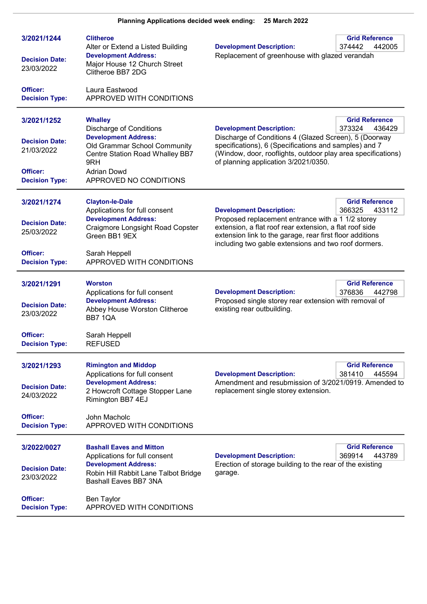| 3/2021/1244<br><b>Decision Date:</b><br>23/03/2022 | <b>Clitheroe</b><br>Alter or Extend a Listed Building<br><b>Development Address:</b><br>Major House 12 Church Street<br>Clitheroe BB7 2DG | <b>Development Description:</b><br>Replacement of greenhouse with glazed verandah                                                                                                                                                | <b>Grid Reference</b><br>374442<br>442005 |
|----------------------------------------------------|-------------------------------------------------------------------------------------------------------------------------------------------|----------------------------------------------------------------------------------------------------------------------------------------------------------------------------------------------------------------------------------|-------------------------------------------|
| Officer:<br><b>Decision Type:</b>                  | Laura Eastwood<br>APPROVED WITH CONDITIONS                                                                                                |                                                                                                                                                                                                                                  |                                           |
| 3/2021/1252<br><b>Decision Date:</b>               | <b>Whalley</b><br><b>Discharge of Conditions</b><br><b>Development Address:</b>                                                           | <b>Development Description:</b><br>Discharge of Conditions 4 (Glazed Screen), 5 (Doorway                                                                                                                                         | <b>Grid Reference</b><br>373324<br>436429 |
| 21/03/2022<br>Officer:                             | Old Grammar School Community<br><b>Centre Station Road Whalley BB7</b><br>9RH<br><b>Adrian Dowd</b>                                       | specifications), 6 (Specifications and samples) and 7<br>(Window, door, rooflights, outdoor play area specifications)<br>of planning application 3/2021/0350.                                                                    |                                           |
| <b>Decision Type:</b>                              | APPROVED NO CONDITIONS                                                                                                                    |                                                                                                                                                                                                                                  |                                           |
| 3/2021/1274                                        | <b>Clayton-le-Dale</b><br>Applications for full consent                                                                                   | <b>Development Description:</b>                                                                                                                                                                                                  | <b>Grid Reference</b><br>366325<br>433112 |
| <b>Decision Date:</b><br>25/03/2022                | <b>Development Address:</b><br>Craigmore Longsight Road Copster<br>Green BB1 9EX                                                          | Proposed replacement entrance with a 1 1/2 storey<br>extension, a flat roof rear extension, a flat roof side<br>extension link to the garage, rear first floor additions<br>including two gable extensions and two roof dormers. |                                           |
| Officer:<br><b>Decision Type:</b>                  | Sarah Heppell<br>APPROVED WITH CONDITIONS                                                                                                 |                                                                                                                                                                                                                                  |                                           |
| 3/2021/1291                                        | <b>Worston</b><br>Applications for full consent                                                                                           | <b>Development Description:</b>                                                                                                                                                                                                  | <b>Grid Reference</b><br>376836<br>442798 |
| <b>Decision Date:</b><br>23/03/2022                | <b>Development Address:</b><br>Abbey House Worston Clitheroe<br><b>BB7 1QA</b>                                                            | Proposed single storey rear extension with removal of<br>existing rear outbuilding.                                                                                                                                              |                                           |
| Officer:<br><b>Decision Type:</b>                  | Sarah Heppell<br><b>REFUSED</b>                                                                                                           |                                                                                                                                                                                                                                  |                                           |
| 3/2021/1293                                        | <b>Rimington and Middop</b><br>Applications for full consent                                                                              | <b>Development Description:</b>                                                                                                                                                                                                  | <b>Grid Reference</b><br>381410<br>445594 |
| <b>Decision Date:</b><br>24/03/2022                | <b>Development Address:</b><br>2 Howcroft Cottage Stopper Lane<br>Rimington BB7 4EJ                                                       | Amendment and resubmission of 3/2021/0919. Amended to<br>replacement single storey extension.                                                                                                                                    |                                           |
| Officer:<br><b>Decision Type:</b>                  | John Macholc<br>APPROVED WITH CONDITIONS                                                                                                  |                                                                                                                                                                                                                                  |                                           |
| 3/2022/0027                                        | <b>Bashall Eaves and Mitton</b><br>Applications for full consent                                                                          | <b>Development Description:</b>                                                                                                                                                                                                  | <b>Grid Reference</b><br>369914<br>443789 |
| <b>Decision Date:</b><br>23/03/2022                | <b>Development Address:</b><br>Robin Hill Rabbit Lane Talbot Bridge<br><b>Bashall Eaves BB7 3NA</b>                                       | Erection of storage building to the rear of the existing<br>garage.                                                                                                                                                              |                                           |
| Officer:<br><b>Decision Type:</b>                  | Ben Taylor<br>APPROVED WITH CONDITIONS                                                                                                    |                                                                                                                                                                                                                                  |                                           |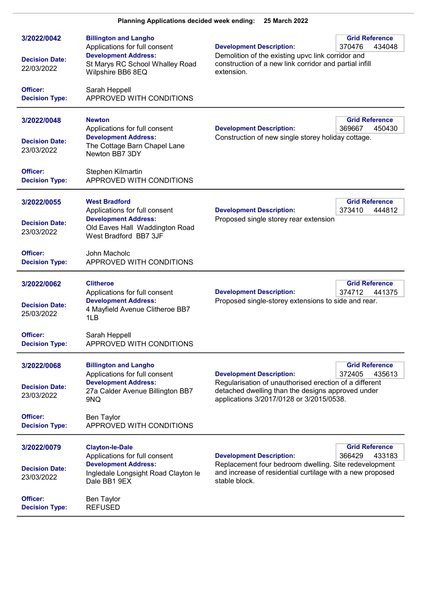| 3/2022/0042<br><b>Decision Date:</b><br>22/03/2022             | <b>Billington and Langho</b><br>Applications for full consent<br><b>Development Address:</b><br>St Marys RC School Whalley Road<br>Wilpshire BB6 8EQ               | <b>Development Description:</b><br>Demolition of the existing upvc link corridor and<br>construction of a new link corridor and partial infill<br>extension.                               | <b>Grid Reference</b><br>370476<br>434048 |
|----------------------------------------------------------------|--------------------------------------------------------------------------------------------------------------------------------------------------------------------|--------------------------------------------------------------------------------------------------------------------------------------------------------------------------------------------|-------------------------------------------|
| Officer:<br><b>Decision Type:</b>                              | Sarah Heppell<br>APPROVED WITH CONDITIONS                                                                                                                          |                                                                                                                                                                                            |                                           |
| 3/2022/0048<br><b>Decision Date:</b><br>23/03/2022             | <b>Newton</b><br>Applications for full consent<br><b>Development Address:</b><br>The Cottage Barn Chapel Lane<br>Newton BB7 3DY                                    | <b>Development Description:</b><br>Construction of new single storey holiday cottage.                                                                                                      | <b>Grid Reference</b><br>369667<br>450430 |
| Officer:<br><b>Decision Type:</b>                              | Stephen Kilmartin<br>APPROVED WITH CONDITIONS                                                                                                                      |                                                                                                                                                                                            |                                           |
| 3/2022/0055<br><b>Decision Date:</b><br>23/03/2022             | <b>West Bradford</b><br>Applications for full consent<br><b>Development Address:</b><br>Old Eaves Hall Waddington Road<br>West Bradford BB7 3JF                    | <b>Development Description:</b><br>Proposed single storey rear extension                                                                                                                   | <b>Grid Reference</b><br>373410<br>444812 |
| Officer:<br><b>Decision Type:</b>                              | John Macholc<br>APPROVED WITH CONDITIONS                                                                                                                           |                                                                                                                                                                                            |                                           |
| 3/2022/0062<br><b>Decision Date:</b><br>25/03/2022             | <b>Clitheroe</b><br>Applications for full consent<br><b>Development Address:</b><br>4 Mayfield Avenue Clitheroe BB7<br>1LB                                         | <b>Development Description:</b><br>Proposed single-storey extensions to side and rear.                                                                                                     | <b>Grid Reference</b><br>374712<br>441375 |
| Officer:<br><b>Decision Type:</b>                              | Sarah Heppell<br>APPROVED WITH CONDITIONS                                                                                                                          |                                                                                                                                                                                            |                                           |
| 3/2022/0068<br><b>Decision Date:</b><br>23/03/2022             | <b>Billington and Langho</b><br>Applications for full consent<br><b>Development Address:</b><br>27a Calder Avenue Billington BB7<br>9NQ                            | <b>Development Description:</b><br>Regularisation of unauthorised erection of a different<br>detached dwelling than the designs approved under<br>applications 3/2017/0128 or 3/2015/0538. | <b>Grid Reference</b><br>372405<br>435613 |
| Officer:<br><b>Decision Type:</b>                              | <b>Ben Taylor</b><br>APPROVED WITH CONDITIONS                                                                                                                      |                                                                                                                                                                                            |                                           |
| 3/2022/0079<br><b>Decision Date:</b><br>23/03/2022<br>Officer: | <b>Clayton-le-Dale</b><br>Applications for full consent<br><b>Development Address:</b><br>Ingledale Longsight Road Clayton le<br>Dale BB1 9EX<br><b>Ben Taylor</b> | <b>Development Description:</b><br>Replacement four bedroom dwelling. Site redevelopment<br>and increase of residential curtilage with a new proposed<br>stable block.                     | <b>Grid Reference</b><br>366429<br>433183 |
| <b>Decision Type:</b>                                          | <b>REFUSED</b>                                                                                                                                                     |                                                                                                                                                                                            |                                           |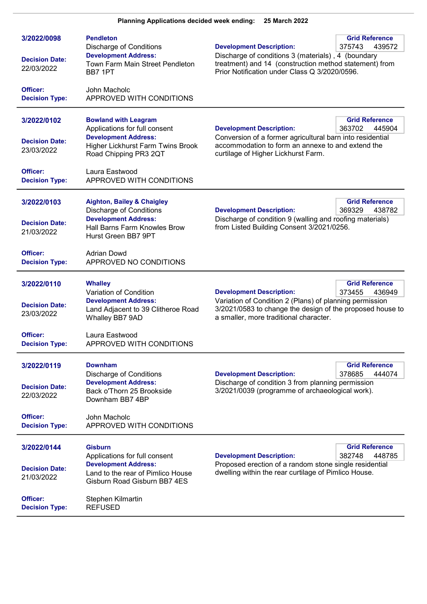| 3/2022/0098<br><b>Decision Date:</b><br>22/03/2022 | <b>Pendleton</b><br><b>Discharge of Conditions</b><br><b>Development Address:</b><br>Town Farm Main Street Pendleton<br>BB7 1PT                               | <b>Development Description:</b><br>Discharge of conditions 3 (materials), 4 (boundary<br>treatment) and 14 (construction method statement) from<br>Prior Notification under Class Q 3/2020/0596.                                      | <b>Grid Reference</b><br>375743<br>439572 |
|----------------------------------------------------|---------------------------------------------------------------------------------------------------------------------------------------------------------------|---------------------------------------------------------------------------------------------------------------------------------------------------------------------------------------------------------------------------------------|-------------------------------------------|
| Officer:<br><b>Decision Type:</b>                  | John Macholc<br>APPROVED WITH CONDITIONS                                                                                                                      |                                                                                                                                                                                                                                       |                                           |
| 3/2022/0102<br><b>Decision Date:</b><br>23/03/2022 | <b>Bowland with Leagram</b><br>Applications for full consent<br><b>Development Address:</b><br>Higher Lickhurst Farm Twins Brook<br>Road Chipping PR3 2QT     | <b>Grid Reference</b><br><b>Development Description:</b><br>363702<br>445904<br>Conversion of a former agricultural barn into residential<br>accommodation to form an annexe to and extend the<br>curtilage of Higher Lickhurst Farm. |                                           |
| Officer:<br><b>Decision Type:</b>                  | Laura Eastwood<br>APPROVED WITH CONDITIONS                                                                                                                    |                                                                                                                                                                                                                                       |                                           |
| 3/2022/0103<br><b>Decision Date:</b><br>21/03/2022 | <b>Aighton, Bailey &amp; Chaigley</b><br><b>Discharge of Conditions</b><br><b>Development Address:</b><br>Hall Barns Farm Knowles Brow<br>Hurst Green BB7 9PT | <b>Development Description:</b><br>Discharge of condition 9 (walling and roofing materials)<br>from Listed Building Consent 3/2021/0256.                                                                                              | <b>Grid Reference</b><br>369329<br>438782 |
| Officer:<br><b>Decision Type:</b>                  | <b>Adrian Dowd</b><br>APPROVED NO CONDITIONS                                                                                                                  |                                                                                                                                                                                                                                       |                                           |
| 3/2022/0110<br><b>Decision Date:</b><br>23/03/2022 | <b>Whalley</b><br>Variation of Condition<br><b>Development Address:</b><br>Land Adjacent to 39 Clitheroe Road<br>Whalley BB7 9AD                              | <b>Development Description:</b><br>Variation of Condition 2 (Plans) of planning permission<br>3/2021/0583 to change the design of the proposed house to<br>a smaller, more traditional character.                                     | <b>Grid Reference</b><br>373455<br>436949 |
| Officer:<br><b>Decision Type:</b>                  | Laura Eastwood<br>APPROVED WITH CONDITIONS                                                                                                                    |                                                                                                                                                                                                                                       |                                           |
| 3/2022/0119<br><b>Decision Date:</b><br>22/03/2022 | <b>Downham</b><br><b>Discharge of Conditions</b><br><b>Development Address:</b><br>Back o'Thorn 25 Brookside<br>Downham BB7 4BP                               | <b>Development Description:</b><br>Discharge of condition 3 from planning permission<br>3/2021/0039 (programme of archaeological work).                                                                                               | <b>Grid Reference</b><br>378685<br>444074 |
| Officer:<br><b>Decision Type:</b>                  | John Macholc<br>APPROVED WITH CONDITIONS                                                                                                                      |                                                                                                                                                                                                                                       |                                           |
| 3/2022/0144<br><b>Decision Date:</b><br>21/03/2022 | <b>Gisburn</b><br>Applications for full consent<br><b>Development Address:</b><br>Land to the rear of Pimlico House<br>Gisburn Road Gisburn BB7 4ES           | <b>Development Description:</b><br>Proposed erection of a random stone single residential<br>dwelling within the rear curtilage of Pimlico House.                                                                                     | <b>Grid Reference</b><br>382748<br>448785 |
| Officer:<br><b>Decision Type:</b>                  | Stephen Kilmartin<br><b>REFUSED</b>                                                                                                                           |                                                                                                                                                                                                                                       |                                           |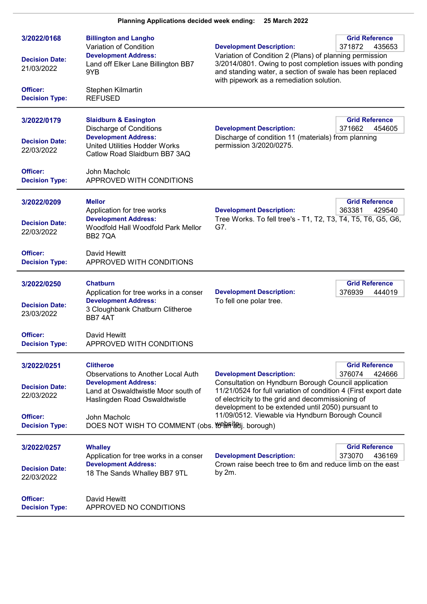| 3/2022/0168<br><b>Decision Date:</b><br>21/03/2022<br>Officer:<br><b>Decision Type:</b> | <b>Billington and Langho</b><br>Variation of Condition<br><b>Development Address:</b><br>Land off Elker Lane Billington BB7<br>9YB<br>Stephen Kilmartin<br><b>REFUSED</b>                                                                  | <b>Development Description:</b><br>Variation of Condition 2 (Plans) of planning permission<br>3/2014/0801. Owing to post completion issues with ponding<br>and standing water, a section of swale has been replaced<br>with pipework as a remediation solution.                                                                                                         | <b>Grid Reference</b><br>371872<br>435653 |
|-----------------------------------------------------------------------------------------|--------------------------------------------------------------------------------------------------------------------------------------------------------------------------------------------------------------------------------------------|-------------------------------------------------------------------------------------------------------------------------------------------------------------------------------------------------------------------------------------------------------------------------------------------------------------------------------------------------------------------------|-------------------------------------------|
| 3/2022/0179<br><b>Decision Date:</b><br>22/03/2022<br>Officer:<br><b>Decision Type:</b> | <b>Slaidburn &amp; Easington</b><br><b>Discharge of Conditions</b><br><b>Development Address:</b><br><b>United Utilities Hodder Works</b><br>Catlow Road Slaidburn BB7 3AQ<br>John Macholc<br>APPROVED WITH CONDITIONS                     | <b>Development Description:</b><br>Discharge of condition 11 (materials) from planning<br>permission 3/2020/0275.                                                                                                                                                                                                                                                       | <b>Grid Reference</b><br>371662<br>454605 |
| 3/2022/0209<br><b>Decision Date:</b><br>22/03/2022<br>Officer:<br><b>Decision Type:</b> | <b>Mellor</b><br>Application for tree works<br><b>Development Address:</b><br>Woodfold Hall Woodfold Park Mellor<br>BB27QA<br>David Hewitt<br>APPROVED WITH CONDITIONS                                                                     | <b>Development Description:</b><br>Tree Works. To fell tree's - T1, T2, T3, T4, T5, T6, G5, G6,<br>G7.                                                                                                                                                                                                                                                                  | <b>Grid Reference</b><br>363381<br>429540 |
| 3/2022/0250<br><b>Decision Date:</b><br>23/03/2022<br>Officer:<br><b>Decision Type:</b> | <b>Chatburn</b><br>Application for tree works in a conser<br><b>Development Address:</b><br>3 Cloughbank Chatburn Clitheroe<br>BB74AT<br>David Hewitt<br>APPROVED WITH CONDITIONS                                                          | <b>Development Description:</b><br>To fell one polar tree.                                                                                                                                                                                                                                                                                                              | <b>Grid Reference</b><br>376939<br>444019 |
| 3/2022/0251<br><b>Decision Date:</b><br>22/03/2022<br>Officer:<br><b>Decision Type:</b> | <b>Clitheroe</b><br><b>Observations to Another Local Auth</b><br><b>Development Address:</b><br>Land at Oswaldtwistle Moor south of<br>Haslingden Road Oswaldtwistle<br>John Macholc<br>DOES NOT WISH TO COMMENT (obs. Weer igdj. borough) | <b>Grid Reference</b><br><b>Development Description:</b><br>376074<br>424666<br>Consultation on Hyndburn Borough Council application<br>11/21/0524 for full variation of condition 4 (First export date<br>of electricity to the grid and decommissioning of<br>development to be extended until 2050) pursuant to<br>11/09/0512. Viewable via Hyndburn Borough Council |                                           |
| 3/2022/0257<br><b>Decision Date:</b><br>22/03/2022<br>Officer:<br><b>Decision Type:</b> | <b>Whalley</b><br>Application for tree works in a conser<br><b>Development Address:</b><br>18 The Sands Whalley BB7 9TL<br>David Hewitt<br>APPROVED NO CONDITIONS                                                                          | <b>Development Description:</b><br>Crown raise beech tree to 6m and reduce limb on the east<br>by 2m.                                                                                                                                                                                                                                                                   | <b>Grid Reference</b><br>373070<br>436169 |